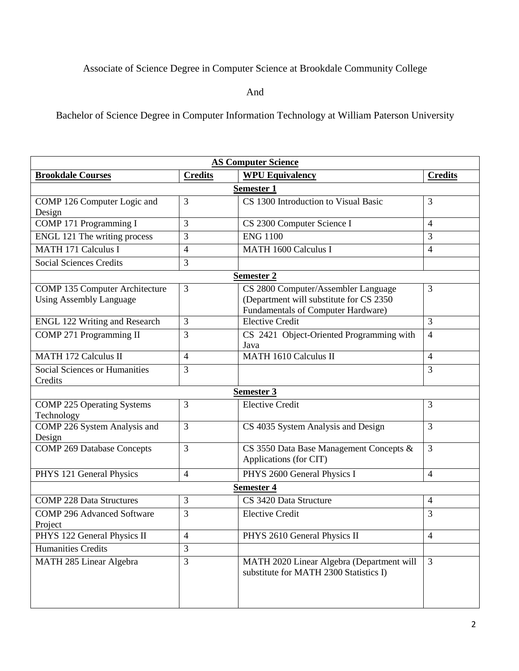## Associate of Science Degree in Computer Science at Brookdale Community College

And

Bachelor of Science Degree in Computer Information Technology at William Paterson University

| <b>AS Computer Science</b>           |                |                                           |                |  |
|--------------------------------------|----------------|-------------------------------------------|----------------|--|
| <b>Brookdale Courses</b>             | <b>Credits</b> | <b>WPU Equivalency</b>                    | <b>Credits</b> |  |
| <b>Semester 1</b>                    |                |                                           |                |  |
| COMP 126 Computer Logic and          | 3              | CS 1300 Introduction to Visual Basic      | 3              |  |
| Design                               |                |                                           |                |  |
| <b>COMP 171 Programming I</b>        | 3              | CS 2300 Computer Science I                | $\overline{4}$ |  |
| <b>ENGL 121 The writing process</b>  | 3              | <b>ENG 1100</b>                           | 3              |  |
| <b>MATH 171 Calculus I</b>           | $\overline{4}$ | <b>MATH 1600 Calculus I</b>               | $\overline{4}$ |  |
| <b>Social Sciences Credits</b>       | 3              |                                           |                |  |
| <b>Semester 2</b>                    |                |                                           |                |  |
| COMP 135 Computer Architecture       | $\overline{3}$ | CS 2800 Computer/Assembler Language       | 3              |  |
| <b>Using Assembly Language</b>       |                | (Department will substitute for CS 2350   |                |  |
|                                      |                | <b>Fundamentals of Computer Hardware)</b> |                |  |
| <b>ENGL 122 Writing and Research</b> | 3              | <b>Elective Credit</b>                    | 3              |  |
| COMP 271 Programming II              | 3              | CS 2421 Object-Oriented Programming with  | $\overline{4}$ |  |
| <b>MATH 172 Calculus II</b>          | $\overline{4}$ | Java<br><b>MATH 1610 Calculus II</b>      | $\overline{4}$ |  |
| Social Sciences or Humanities        | 3              |                                           |                |  |
| Credits                              |                |                                           | 3              |  |
| <b>Semester 3</b>                    |                |                                           |                |  |
| <b>COMP 225 Operating Systems</b>    | 3              | <b>Elective Credit</b>                    | 3              |  |
| Technology                           |                |                                           |                |  |
| COMP 226 System Analysis and         | 3              | CS 4035 System Analysis and Design        | 3              |  |
| Design                               |                |                                           |                |  |
| <b>COMP 269 Database Concepts</b>    | 3              | CS 3550 Data Base Management Concepts &   | 3              |  |
|                                      |                | Applications (for CIT)                    |                |  |
| PHYS 121 General Physics             | $\overline{4}$ | PHYS 2600 General Physics I               | $\overline{4}$ |  |
| <b>Semester 4</b>                    |                |                                           |                |  |
| <b>COMP 228 Data Structures</b>      | 3              | CS 3420 Data Structure                    | $\overline{4}$ |  |
| <b>COMP 296 Advanced Software</b>    | 3              | <b>Elective Credit</b>                    | 3              |  |
| Project                              |                |                                           |                |  |
| PHYS 122 General Physics II          | $\overline{4}$ | PHYS 2610 General Physics II              | $\overline{4}$ |  |
| <b>Humanities Credits</b>            | 3              |                                           |                |  |
| MATH 285 Linear Algebra              | $\overline{3}$ | MATH 2020 Linear Algebra (Department will | 3              |  |
|                                      |                | substitute for MATH 2300 Statistics I)    |                |  |
|                                      |                |                                           |                |  |
|                                      |                |                                           |                |  |